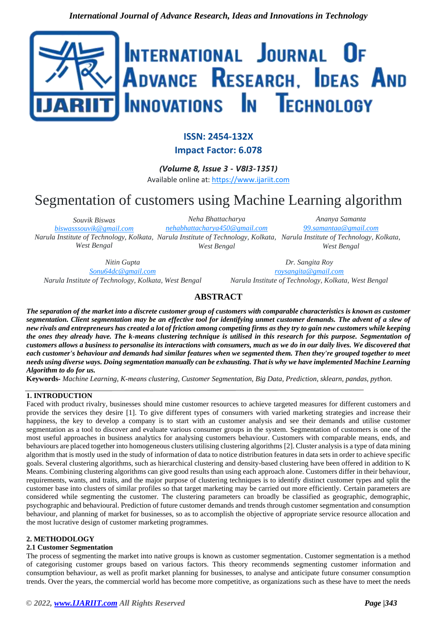

# **ISSN: 2454-132X**

**Impact Factor: 6.078**

*(Volume 8, Issue 3 - V8I3-1351)* Available online at: [https://www.ijariit.com](https://www.ijariit.com/?utm_source=pdf&utm_medium=edition&utm_campaign=OmAkSols&utm_term=V8I3-1351)

# Segmentation of customers using Machine Learning algorithm

*Souvik Biswas [biswasssouvik@gmail.com](mailto:biswasssouvik@gmail.com) Narula Institute of Technology, Kolkata, Narula Institute of Technology, Kolkata, Narula Institute of Technology, Kolkata, West Bengal*

*Neha Bhattacharya [nehabhattacharya450@gmail.com](mailto:nehabhattacharya450@gmail.com) West Bengal*

*Ananya Samanta [99.samantaa@gmail.com](mailto:99.samantaa@gmail.com) West Bengal*

*Nitin Gupta [Sonu64dc@gmail.com](mailto:Sonu64dc@gmail.com) Narula Institute of Technology, Kolkata, West Bengal*

*Dr. Sangita Roy [roysangita@gmail.com](mailto:roysangita@gmail.com) Narula Institute of Technology, Kolkata, West Bengal*

# **ABSTRACT**

*The separation of the market into a discrete customer group of customers with comparable characteristics is known as customer segmentation. Client segmentation may be an effective tool for identifying unmet customer demands. The advent of a slew of new rivals and entrepreneurs has created a lot of friction among competing firms as they try to gain new customers while keeping the ones they already have. The k-means clustering technique is utilised in this research for this purpose. Segmentation of customers allows a business to personalise its interactions with consumers, much as we do in our daily lives. We discovered that each customer's behaviour and demands had similar features when we segmented them. Then they're grouped together to meet needs using diverse ways. Doing segmentation manually can be exhausting. That is why we have implemented Machine Learning Algorithm to do for us.*

**Keywords***- Machine Learning, K-means clustering, Customer Segmentation, Big Data, Prediction, sklearn, pandas, python.* 

# **1. INTRODUCTION**

Faced with product rivalry, businesses should mine customer resources to achieve targeted measures for different customers and provide the services they desire [1]. To give different types of consumers with varied marketing strategies and increase their happiness, the key to develop a company is to start with an customer analysis and see their demands and utilise customer segmentation as a tool to discover and evaluate various consumer groups in the system. Segmentation of customers is one of the most useful approaches in business analytics for analysing customers behaviour. Customers with comparable means, ends, and behaviours are placed together into homogeneous clusters utilising clustering algorithms [2]. Cluster analysis is a type of data mining algorithm that is mostly used in the study of information of data to notice distribution features in data sets in order to achieve specific goals. Several clustering algorithms, such as hierarchical clustering and density-based clustering have been offered in addition to K Means. Combining clustering algorithms can give good results than using each approach alone. Customers differ in their behaviour, requirements, wants, and traits, and the major purpose of clustering techniques is to identify distinct customer types and split the customer base into clusters of similar profiles so that target marketing may be carried out more efficiently. Certain parameters are considered while segmenting the customer. The clustering parameters can broadly be classified as geographic, demographic, psychographic and behavioural. Prediction of future customer demands and trends through customer segmentation and consumption behaviour, and planning of market for businesses, so as to accomplish the objective of appropriate service resource allocation and the most lucrative design of customer marketing programmes.

#### **2. METHODOLOGY**

#### **2.1 Customer Segmentation**

The process of segmenting the market into native groups is known as customer segmentation. Customer segmentation is a method of categorising customer groups based on various factors. This theory recommends segmenting customer information and consumption behaviour, as well as profit market planning for businesses, to analyse and anticipate future consumer consumption trends. Over the years, the commercial world has become more competitive, as organizations such as these have to meet the needs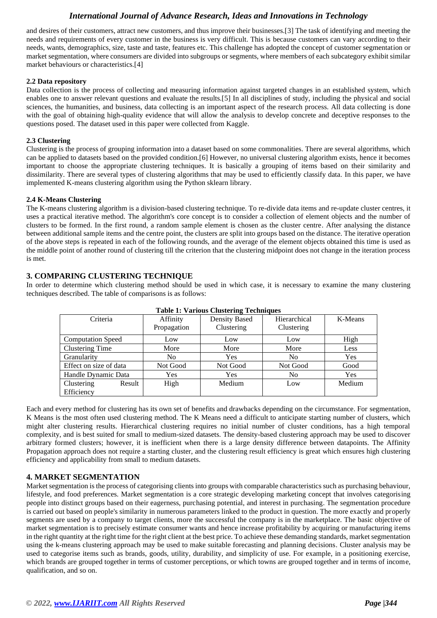# *International Journal of Advance Research, Ideas and Innovations in Technology*

and desires of their customers, attract new customers, and thus improve their businesses.[3] The task of identifying and meeting the needs and requirements of every customer in the business is very difficult. This is because customers can vary according to their needs, wants, demographics, size, taste and taste, features etc. This challenge has adopted the concept of customer segmentation or market segmentation, where consumers are divided into subgroups or segments, where members of each subcategory exhibit similar market behaviours or characteristics.[4]

#### **2.2 Data repository**

Data collection is the process of collecting and measuring information against targeted changes in an established system, which enables one to answer relevant questions and evaluate the results.[5] In all disciplines of study, including the physical and social sciences, the humanities, and business, data collecting is an important aspect of the research process. All data collecting is done with the goal of obtaining high-quality evidence that will allow the analysis to develop concrete and deceptive responses to the questions posed. The dataset used in this paper were collected from Kaggle.

#### **2.3 Clustering**

Clustering is the process of grouping information into a dataset based on some commonalities. There are several algorithms, which can be applied to datasets based on the provided condition.[6] However, no universal clustering algorithm exists, hence it becomes important to choose the appropriate clustering techniques. It is basically a grouping of items based on their similarity and dissimilarity. There are several types of clustering algorithms that may be used to efficiently classify data. In this paper, we have implemented K-means clustering algorithm using the Python sklearn library.

#### **2.4 K-Means Clustering**

The K-means clustering algorithm is a division-based clustering technique. To re-divide data items and re-update cluster centres, it uses a practical iterative method. The algorithm's core concept is to consider a collection of element objects and the number of clusters to be formed. In the first round, a random sample element is chosen as the cluster centre. After analysing the distance between additional sample items and the centre point, the clusters are split into groups based on the distance. The iterative operation of the above steps is repeated in each of the following rounds, and the average of the element objects obtained this time is used as the middle point of another round of clustering till the criterion that the clustering midpoint does not change in the iteration process is met.

## **3. COMPARING CLUSTERING TECHNIQUE**

In order to determine which clustering method should be used in which case, it is necessary to examine the many clustering techniques described. The table of comparisons is as follows:

| Table 1. Various Clustering Techniques |             |               |              |            |
|----------------------------------------|-------------|---------------|--------------|------------|
| Criteria                               | Affinity    | Density Based | Hierarchical | K-Means    |
|                                        | Propagation | Clustering    | Clustering   |            |
| <b>Computation Speed</b>               | Low         | Low           | Low          | High       |
| <b>Clustering Time</b>                 | More        | More          | More         | Less       |
| Granularity                            | No          | Yes           | No           | <b>Yes</b> |
| Effect on size of data                 | Not Good    | Not Good      | Not Good     | Good       |
| Handle Dynamic Data                    | Yes         | Yes           | No           | <b>Yes</b> |
| Clustering<br>Result                   | High        | Medium        | Low          | Medium     |
| Efficiency                             |             |               |              |            |

**Table 1: Various Clustering Techniques**

Each and every method for clustering has its own set of benefits and drawbacks depending on the circumstance. For segmentation, K Means is the most often used clustering method. The K Means need a difficult to anticipate starting number of clusters, which might alter clustering results. Hierarchical clustering requires no initial number of cluster conditions, has a high temporal complexity, and is best suited for small to medium-sized datasets. The density-based clustering approach may be used to discover arbitrary formed clusters; however, it is inefficient when there is a large density difference between datapoints. The Affinity Propagation approach does not require a starting cluster, and the clustering result efficiency is great which ensures high clustering efficiency and applicability from small to medium datasets.

#### **4. MARKET SEGMENTATION**

Market segmentation is the process of categorising clients into groups with comparable characteristics such as purchasing behaviour, lifestyle, and food preferences. Market segmentation is a core strategic developing marketing concept that involves categorising people into distinct groups based on their eagerness, purchasing potential, and interest in purchasing. The segmentation procedure is carried out based on people's similarity in numerous parameters linked to the product in question. The more exactly and properly segments are used by a company to target clients, more the successful the company is in the marketplace. The basic objective of market segmentation is to precisely estimate consumer wants and hence increase profitability by acquiring or manufacturing items in the right quantity at the right time for the right client at the best price. To achieve these demanding standards, market segmentation using the k-means clustering approach may be used to make suitable forecasting and planning decisions. Cluster analysis may be used to categorise items such as brands, goods, utility, durability, and simplicity of use. For example, in a positioning exercise, which brands are grouped together in terms of customer perceptions, or which towns are grouped together and in terms of income, qualification, and so on.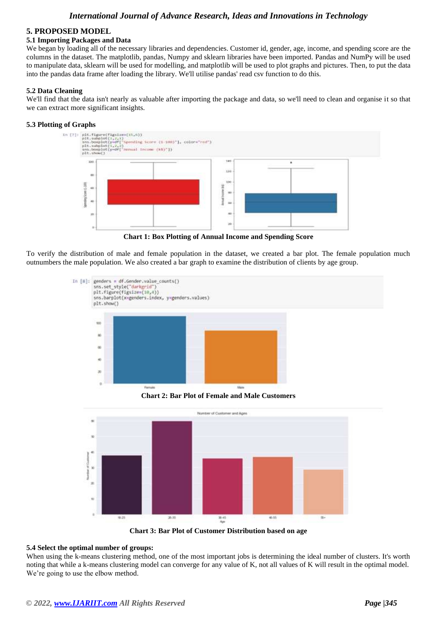#### **5. PROPOSED MODEL**

#### **5.1 Importing Packages and Data**

We began by loading all of the necessary libraries and dependencies. Customer id, gender, age, income, and spending score are the columns in the dataset. The matplotlib, pandas, Numpy and sklearn libraries have been imported. Pandas and NumPy will be used to manipulate data, sklearn will be used for modelling, and matplotlib will be used to plot graphs and pictures. Then, to put the data into the pandas data frame after loading the library. We'll utilise pandas' read csv function to do this.

#### **5.2 Data Cleaning**

We'll find that the data isn't nearly as valuable after importing the package and data, so we'll need to clean and organise it so that we can extract more significant insights.

#### **5.3 Plotting of Graphs**



**Chart 1: Box Plotting of Annual Income and Spending Score**

To verify the distribution of male and female population in the dataset, we created a bar plot. The female population much outnumbers the male population. We also created a bar graph to examine the distribution of clients by age group.



**Chart 2: Bar Plot of Female and Male Customers**



**Chart 3: Bar Plot of Customer Distribution based on age**

#### **5.4 Select the optimal number of groups:**

When using the k-means clustering method, one of the most important jobs is determining the ideal number of clusters. It's worth noting that while a k-means clustering model can converge for any value of K, not all values of K will result in the optimal model. We're going to use the elbow method.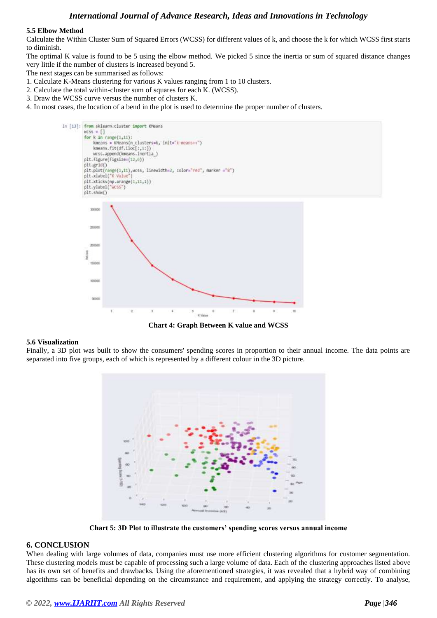## *International Journal of Advance Research, Ideas and Innovations in Technology*

#### **5.5 Elbow Method**

Calculate the Within Cluster Sum of Squared Errors (WCSS) for different values of k, and choose the k for which WCSS first starts to diminish.

The optimal K value is found to be 5 using the elbow method. We picked 5 since the inertia or sum of squared distance changes very little if the number of clusters is increased beyond 5.

The next stages can be summarised as follows:

- 1. Calculate K-Means clustering for various K values ranging from 1 to 10 clusters.
- 2. Calculate the total within-cluster sum of squares for each K. (WCSS).
- 3. Draw the WCSS curve versus the number of clusters K.
- 4. In most cases, the location of a bend in the plot is used to determine the proper number of clusters.



**Chart 4: Graph Between K value and WCSS**

#### **5.6 Visualization**

Finally, a 3D plot was built to show the consumers' spending scores in proportion to their annual income. The data points are separated into five groups, each of which is represented by a different colour in the 3D picture.



**Chart 5: 3D Plot to illustrate the customers' spending scores versus annual income**

#### **6. CONCLUSION**

When dealing with large volumes of data, companies must use more efficient clustering algorithms for customer segmentation. These clustering models must be capable of processing such a large volume of data. Each of the clustering approaches listed above has its own set of benefits and drawbacks. Using the aforementioned strategies, it was revealed that a hybrid way of combining algorithms can be beneficial depending on the circumstance and requirement, and applying the strategy correctly. To analyse,